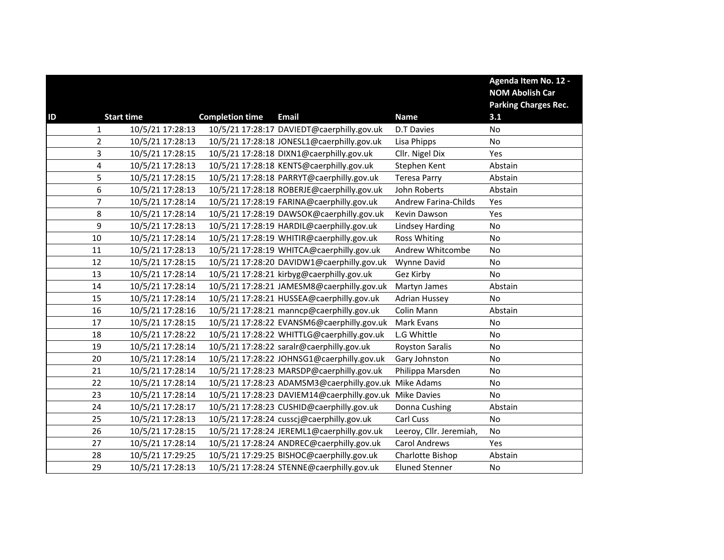|    |                                    |                        |                                             |                             | Agenda Item No. 12 -        |
|----|------------------------------------|------------------------|---------------------------------------------|-----------------------------|-----------------------------|
|    |                                    |                        |                                             |                             | <b>NOM Abolish Car</b>      |
|    |                                    |                        |                                             |                             | <b>Parking Charges Rec.</b> |
| ID | <b>Start time</b>                  | <b>Completion time</b> | <b>Email</b>                                | <b>Name</b>                 | 3.1                         |
|    | 10/5/21 17:28:13<br>1              |                        | 10/5/21 17:28:17 DAVIEDT@caerphilly.gov.uk  | <b>D.T Davies</b>           | No                          |
|    | $\overline{2}$<br>10/5/21 17:28:13 |                        | 10/5/21 17:28:18 JONESL1@caerphilly.gov.uk  | Lisa Phipps                 | No                          |
|    | 3<br>10/5/21 17:28:15              |                        | 10/5/21 17:28:18 DIXN1@caerphilly.gov.uk    | Cllr. Nigel Dix             | Yes                         |
|    | 4<br>10/5/21 17:28:13              |                        | 10/5/21 17:28:18 KENTS@caerphilly.gov.uk    | Stephen Kent                | Abstain                     |
|    | 5<br>10/5/21 17:28:15              |                        | 10/5/21 17:28:18 PARRYT@caerphilly.gov.uk   | <b>Teresa Parry</b>         | Abstain                     |
|    | 6<br>10/5/21 17:28:13              |                        | 10/5/21 17:28:18 ROBERJE@caerphilly.gov.uk  | John Roberts                | Abstain                     |
|    | $\overline{7}$<br>10/5/21 17:28:14 |                        | 10/5/21 17:28:19 FARINA@caerphilly.gov.uk   | <b>Andrew Farina-Childs</b> | Yes                         |
|    | 8<br>10/5/21 17:28:14              |                        | 10/5/21 17:28:19 DAWSOK@caerphilly.gov.uk   | Kevin Dawson                | Yes                         |
|    | 9<br>10/5/21 17:28:13              |                        | 10/5/21 17:28:19 HARDIL@caerphilly.gov.uk   | <b>Lindsey Harding</b>      | No                          |
|    | 10<br>10/5/21 17:28:14             |                        | 10/5/21 17:28:19 WHITIR@caerphilly.gov.uk   | <b>Ross Whiting</b>         | No                          |
|    | 10/5/21 17:28:13<br>11             |                        | 10/5/21 17:28:19 WHITCA@caerphilly.gov.uk   | Andrew Whitcombe            | No                          |
|    | 10/5/21 17:28:15<br>12             |                        | 10/5/21 17:28:20 DAVIDW1@caerphilly.gov.uk  | Wynne David                 | No                          |
|    | 13<br>10/5/21 17:28:14             |                        | 10/5/21 17:28:21 kirbyg@caerphilly.gov.uk   | Gez Kirby                   | No                          |
|    | 14<br>10/5/21 17:28:14             |                        | 10/5/21 17:28:21 JAMESM8@caerphilly.gov.uk  | Martyn James                | Abstain                     |
|    | 15<br>10/5/21 17:28:14             |                        | 10/5/21 17:28:21 HUSSEA@caerphilly.gov.uk   | <b>Adrian Hussey</b>        | No                          |
|    | 16<br>10/5/21 17:28:16             |                        | 10/5/21 17:28:21 manncp@caerphilly.gov.uk   | Colin Mann                  | Abstain                     |
|    | 10/5/21 17:28:15<br>17             |                        | 10/5/21 17:28:22 EVANSM6@caerphilly.gov.uk  | Mark Evans                  | No                          |
|    | 18<br>10/5/21 17:28:22             |                        | 10/5/21 17:28:22 WHITTLG@caerphilly.gov.uk  | L.G Whittle                 | No                          |
|    | 19<br>10/5/21 17:28:14             |                        | 10/5/21 17:28:22 saralr@caerphilly.gov.uk   | <b>Royston Saralis</b>      | No                          |
|    | 10/5/21 17:28:14<br>20             |                        | 10/5/21 17:28:22 JOHNSG1@caerphilly.gov.uk  | Gary Johnston               | No                          |
|    | 21<br>10/5/21 17:28:14             |                        | 10/5/21 17:28:23 MARSDP@caerphilly.gov.uk   | Philippa Marsden            | No                          |
|    | 22<br>10/5/21 17:28:14             |                        | 10/5/21 17:28:23 ADAMSM3@caerphilly.gov.uk  | Mike Adams                  | No                          |
|    | 23<br>10/5/21 17:28:14             |                        | 10/5/21 17:28:23 DAVIEM14@caerphilly.gov.uk | <b>Mike Davies</b>          | No                          |
|    | 24<br>10/5/21 17:28:17             |                        | 10/5/21 17:28:23 CUSHID@caerphilly.gov.uk   | Donna Cushing               | Abstain                     |
|    | 10/5/21 17:28:13<br>25             |                        | 10/5/21 17:28:24 cusscj@caerphilly.gov.uk   | Carl Cuss                   | No                          |
|    | 26<br>10/5/21 17:28:15             |                        | 10/5/21 17:28:24 JEREML1@caerphilly.gov.uk  | Leeroy, Cllr. Jeremiah,     | No                          |
|    | 27<br>10/5/21 17:28:14             |                        | 10/5/21 17:28:24 ANDREC@caerphilly.gov.uk   | <b>Carol Andrews</b>        | Yes                         |
|    | 10/5/21 17:29:25<br>28             |                        | 10/5/21 17:29:25 BISHOC@caerphilly.gov.uk   | Charlotte Bishop            | Abstain                     |
|    | 10/5/21 17:28:13<br>29             |                        | 10/5/21 17:28:24 STENNE@caerphilly.gov.uk   | <b>Eluned Stenner</b>       | No                          |